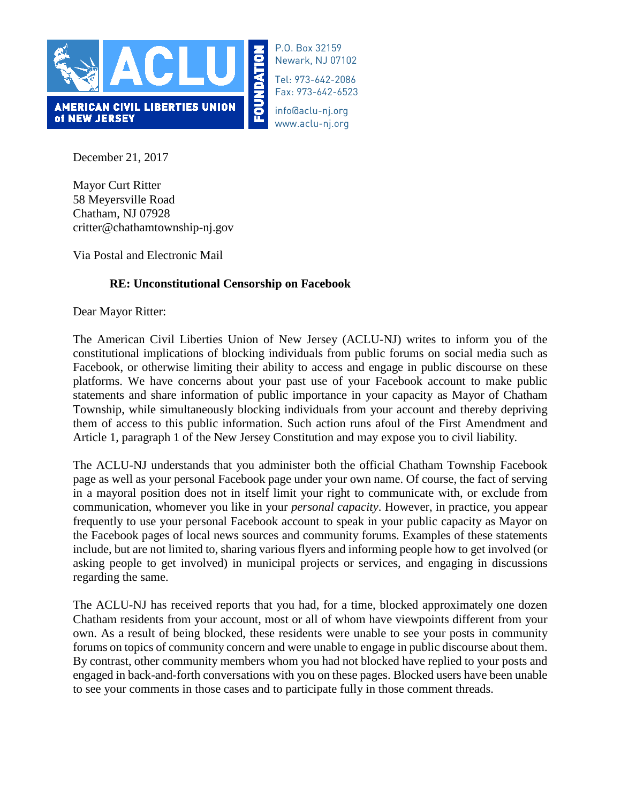

P.O. Box 32159 Newark, NJ 07102

Tel: 973-642-2086 Fax: 973-642-6523

info@aclu-nj.org www.aclu-nj.org

December 21, 2017

Mayor Curt Ritter 58 Meyersville Road Chatham, NJ 07928 critter@chathamtownship-nj.gov

Via Postal and Electronic Mail

## **RE: Unconstitutional Censorship on Facebook**

Dear Mayor Ritter:

The American Civil Liberties Union of New Jersey (ACLU-NJ) writes to inform you of the constitutional implications of blocking individuals from public forums on social media such as Facebook, or otherwise limiting their ability to access and engage in public discourse on these platforms. We have concerns about your past use of your Facebook account to make public statements and share information of public importance in your capacity as Mayor of Chatham Township, while simultaneously blocking individuals from your account and thereby depriving them of access to this public information. Such action runs afoul of the First Amendment and Article 1, paragraph 1 of the New Jersey Constitution and may expose you to civil liability.

The ACLU-NJ understands that you administer both the official Chatham Township Facebook page as well as your personal Facebook page under your own name. Of course, the fact of serving in a mayoral position does not in itself limit your right to communicate with, or exclude from communication, whomever you like in your *personal capacity*. However, in practice, you appear frequently to use your personal Facebook account to speak in your public capacity as Mayor on the Facebook pages of local news sources and community forums. Examples of these statements include, but are not limited to, sharing various flyers and informing people how to get involved (or asking people to get involved) in municipal projects or services, and engaging in discussions regarding the same.

The ACLU-NJ has received reports that you had, for a time, blocked approximately one dozen Chatham residents from your account, most or all of whom have viewpoints different from your own. As a result of being blocked, these residents were unable to see your posts in community forums on topics of community concern and were unable to engage in public discourse about them. By contrast, other community members whom you had not blocked have replied to your posts and engaged in back-and-forth conversations with you on these pages. Blocked users have been unable to see your comments in those cases and to participate fully in those comment threads.